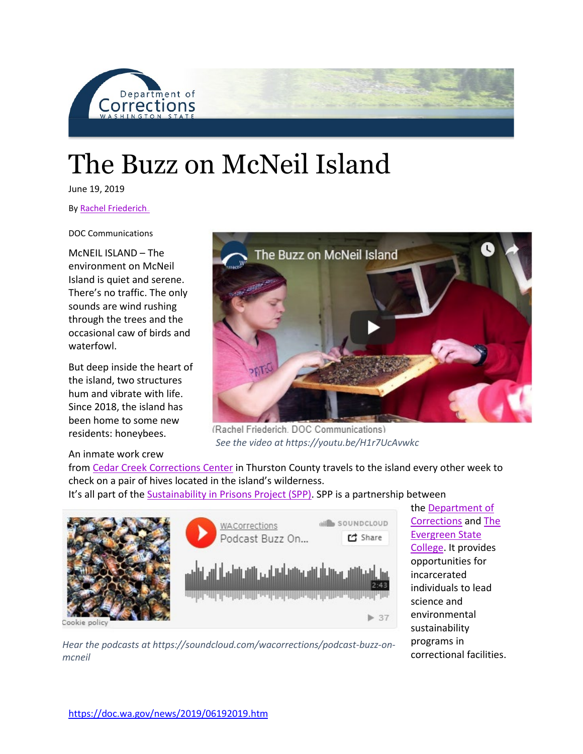

## The Buzz on McNeil Island

June 19, 2019

By Rachel Friederich.

DOC Communications

McNEIL ISLAND – The environment on McNeil Island is quiet and serene. There's no traffic. The only sounds are wind rushing through the trees and the occasional caw of birds and waterfowl.

But deep inside the heart of the island, two structures hum and vibrate with life. Since 2018, the island has been home to some new residents: honeybees.

## An inmate work crew



(Rachel Friederich, DOC Communications) *See the video at https://youtu.be/H1r7UcAvwkc*

from [Cedar Creek Corrections Center](https://doc.wa.gov/corrections/incarceration/prisons/cccc.htm) in Thurston County travels to the island every other week to check on a pair of hives located in the island's wilderness.

It's all part of the [Sustainability in Prisons Project \(SPP\).](http://sustainabilityinprisons.org/spp-programs-in-wa/what-we-do/science/beekeeping-programs/) SPP is a partnership between



the [Department of](https://doc.wa.gov/default.htm)  [Corrections](https://doc.wa.gov/default.htm) and [The](https://www.evergreen.edu/)  [Evergreen State](https://www.evergreen.edu/)  [College.](https://www.evergreen.edu/) It provides opportunities for incarcerated individuals to lead science and environmental sustainability programs in correctional facilities.

*Hear the podcasts at https://soundcloud.com/wacorrections/podcast-buzz-onmcneil*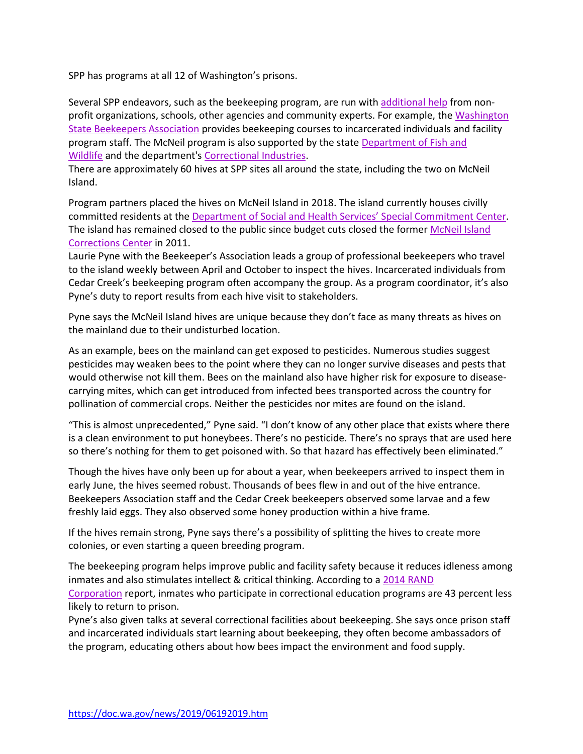SPP has programs at all 12 of Washington's prisons.

Several SPP endeavors, such as the beekeeping program, are run with [additional help](http://sustainabilityinprisons.org/about/) from nonprofit organizations, schools, other agencies and community experts. For example, the [Washington](https://wasba.org/)  [State Beekeepers Association](https://wasba.org/) provides beekeeping courses to incarcerated individuals and facility program staff. The McNeil program is also supported by the state [Department of Fish and](https://wdfw.wa.gov/)  [Wildlife](https://wdfw.wa.gov/) and the department's [Correctional Industries.](https://www.washingtonci.com/)

There are approximately 60 hives at SPP sites all around the state, including the two on McNeil Island.

Program partners placed the hives on McNeil Island in 2018. The island currently houses civilly committed residents at the [Department of Social and Health Services' Special Commitment Center.](https://www.dshs.wa.gov/bha/special-commitment-center) The island has remained closed to the public since budget cuts closed the former [McNeil Island](https://doc.wa.gov/about/agency/history/micc.htm)  [Corrections Center](https://doc.wa.gov/about/agency/history/micc.htm) in 2011.

Laurie Pyne with the Beekeeper's Association leads a group of professional beekeepers who travel to the island weekly between April and October to inspect the hives. Incarcerated individuals from Cedar Creek's beekeeping program often accompany the group. As a program coordinator, it's also Pyne's duty to report results from each hive visit to stakeholders.

Pyne says the McNeil Island hives are unique because they don't face as many threats as hives on the mainland due to their undisturbed location.

As an example, bees on the mainland can get exposed to pesticides. Numerous studies suggest pesticides may weaken bees to the point where they can no longer survive diseases and pests that would otherwise not kill them. Bees on the mainland also have higher risk for exposure to diseasecarrying mites, which can get introduced from infected bees transported across the country for pollination of commercial crops. Neither the pesticides nor mites are found on the island.

"This is almost unprecedented," Pyne said. "I don't know of any other place that exists where there is a clean environment to put honeybees. There's no pesticide. There's no sprays that are used here so there's nothing for them to get poisoned with. So that hazard has effectively been eliminated."

Though the hives have only been up for about a year, when beekeepers arrived to inspect them in early June, the hives seemed robust. Thousands of bees flew in and out of the hive entrance. Beekeepers Association staff and the Cedar Creek beekeepers observed some larvae and a few freshly laid eggs. They also observed some honey production within a hive frame.

If the hives remain strong, Pyne says there's a possibility of splitting the hives to create more colonies, or even starting a queen breeding program.

The beekeeping program helps improve public and facility safety because it reduces idleness among inmates and also stimulates intellect & critical thinking. According to a [2014 RAND](https://www.rand.org/pubs/research_reports/RR564.html)  [Corporation](https://www.rand.org/pubs/research_reports/RR564.html) report, inmates who participate in correctional education programs are 43 percent less likely to return to prison.

Pyne's also given talks at several correctional facilities about beekeeping. She says once prison staff and incarcerated individuals start learning about beekeeping, they often become ambassadors of the program, educating others about how bees impact the environment and food supply.